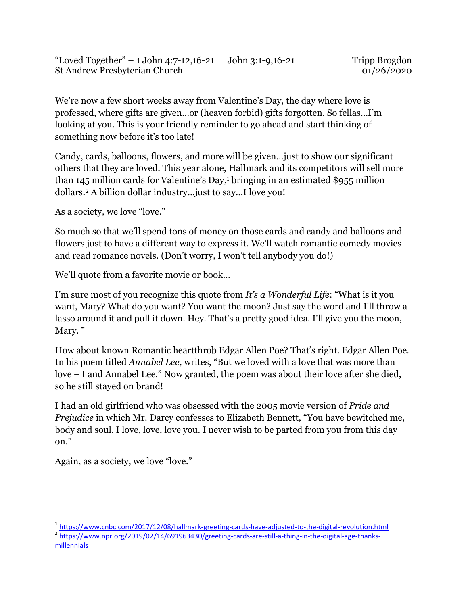"Loved Together" – 1 John 4:7-12,16-21 John 3:1-9,16-21 Tripp Brogdon St Andrew Presbyterian Church 01/26/2020

We're now a few short weeks away from Valentine's Day, the day where love is professed, where gifts are given…or (heaven forbid) gifts forgotten. So fellas…I'm looking at you. This is your friendly reminder to go ahead and start thinking of something now before it's too late!

Candy, cards, balloons, flowers, and more will be given…just to show our significant others that they are loved. This year alone, Hallmark and its competitors will sell more than 145 million cards for Valentine's Day,<sup>1</sup> bringing in an estimated \$955 million dollars.<sup>2</sup> A billion dollar industry...just to say...I love you!

As a society, we love "love."

So much so that we'll spend tons of money on those cards and candy and balloons and flowers just to have a different way to express it. We'll watch romantic comedy movies and read romance novels. (Don't worry, I won't tell anybody you do!)

We'll quote from a favorite movie or book…

I'm sure most of you recognize this quote from *It's a Wonderful Life*: "What is it you want, Mary? What do you want? You want the moon? Just say the word and I'll throw a lasso around it and pull it down. Hey. That's a pretty good idea. I'll give you the moon, Mary."

How about known Romantic heartthrob Edgar Allen Poe? That's right. Edgar Allen Poe. In his poem titled *Annabel Lee*, writes, "But we loved with a love that was more than love – I and Annabel Lee." Now granted, the poem was about their love after she died, so he still stayed on brand!

I had an old girlfriend who was obsessed with the 2005 movie version of *Pride and Prejudice* in which Mr. Darcy confesses to Elizabeth Bennett, "You have bewitched me, body and soul. I love, love, love you. I never wish to be parted from you from this day on."

Again, as a society, we love "love."

 $\overline{a}$ 

<sup>&</sup>lt;sup>1</sup> <https://www.cnbc.com/2017/12/08/hallmark-greeting-cards-have-adjusted-to-the-digital-revolution.html>

<sup>&</sup>lt;sup>2</sup> [https://www.npr.org/2019/02/14/691963430/greeting-cards-are-still-a-thing-in-the-digital-age-thanks](https://www.npr.org/2019/02/14/691963430/greeting-cards-are-still-a-thing-in-the-digital-age-thanks-millennials)[millennials](https://www.npr.org/2019/02/14/691963430/greeting-cards-are-still-a-thing-in-the-digital-age-thanks-millennials)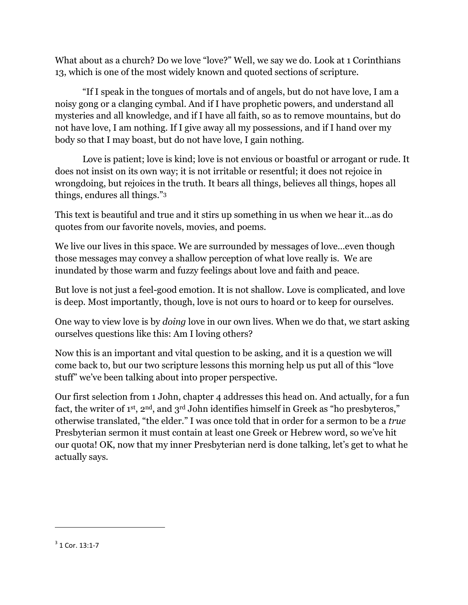What about as a church? Do we love "love?" Well, we say we do. Look at 1 Corinthians 13, which is one of the most widely known and quoted sections of scripture.

"If I speak in the tongues of mortals and of angels, but do not have love, I am a noisy gong or a clanging cymbal. And if I have prophetic powers, and understand all mysteries and all knowledge, and if I have all faith, so as to remove mountains, but do not have love, I am nothing. If I give away all my possessions, and if I hand over my body so that I may boast, but do not have love, I gain nothing.

Love is patient; love is kind; love is not envious or boastful or arrogant or rude. It does not insist on its own way; it is not irritable or resentful; it does not rejoice in wrongdoing, but rejoices in the truth. It bears all things, believes all things, hopes all things, endures all things."<sup>3</sup>

This text is beautiful and true and it stirs up something in us when we hear it…as do quotes from our favorite novels, movies, and poems.

We live our lives in this space. We are surrounded by messages of love...even though those messages may convey a shallow perception of what love really is. We are inundated by those warm and fuzzy feelings about love and faith and peace.

But love is not just a feel-good emotion. It is not shallow. Love is complicated, and love is deep. Most importantly, though, love is not ours to hoard or to keep for ourselves.

One way to view love is by *doing* love in our own lives. When we do that, we start asking ourselves questions like this: Am I loving others?

Now this is an important and vital question to be asking, and it is a question we will come back to, but our two scripture lessons this morning help us put all of this "love stuff" we've been talking about into proper perspective.

Our first selection from 1 John, chapter 4 addresses this head on. And actually, for a fun fact, the writer of 1<sup>st</sup>, 2<sup>nd</sup>, and 3<sup>rd</sup> John identifies himself in Greek as "ho presbyteros," otherwise translated, "the elder." I was once told that in order for a sermon to be a *true* Presbyterian sermon it must contain at least one Greek or Hebrew word, so we've hit our quota! OK, now that my inner Presbyterian nerd is done talking, let's get to what he actually says.

 $\overline{\phantom{a}}$ 

 $3$  1 Cor. 13:1-7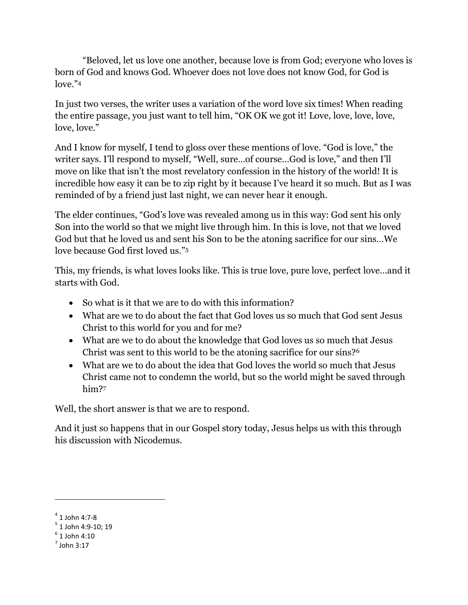"Beloved, let us love one another, because love is from God; everyone who loves is born of God and knows God. Whoever does not love does not know God, for God is love."<sup>4</sup>

In just two verses, the writer uses a variation of the word love six times! When reading the entire passage, you just want to tell him, "OK OK we got it! Love, love, love, love, love, love."

And I know for myself, I tend to gloss over these mentions of love. "God is love," the writer says. I'll respond to myself, "Well, sure…of course…God is love," and then I'll move on like that isn't the most revelatory confession in the history of the world! It is incredible how easy it can be to zip right by it because I've heard it so much. But as I was reminded of by a friend just last night, we can never hear it enough.

The elder continues, "God's love was revealed among us in this way: God sent his only Son into the world so that we might live through him. In this is love, not that we loved God but that he loved us and sent his Son to be the atoning sacrifice for our sins…We love because God first loved us."<sup>5</sup>

This, my friends, is what loves looks like. This is true love, pure love, perfect love…and it starts with God.

- So what is it that we are to do with this information?
- What are we to do about the fact that God loves us so much that God sent Jesus Christ to this world for you and for me?
- What are we to do about the knowledge that God loves us so much that Jesus Christ was sent to this world to be the atoning sacrifice for our sins?<sup>6</sup>
- What are we to do about the idea that God loves the world so much that Jesus Christ came not to condemn the world, but so the world might be saved through him?7

Well, the short answer is that we are to respond.

And it just so happens that in our Gospel story today, Jesus helps us with this through his discussion with Nicodemus.

l

 $^4$  1 John 4:7-8

<sup>&</sup>lt;sup>5</sup> 1 John 4:9-10; 19

 $^{\rm 6}$  1 John 4:10

 $<sup>7</sup>$  John 3:17</sup>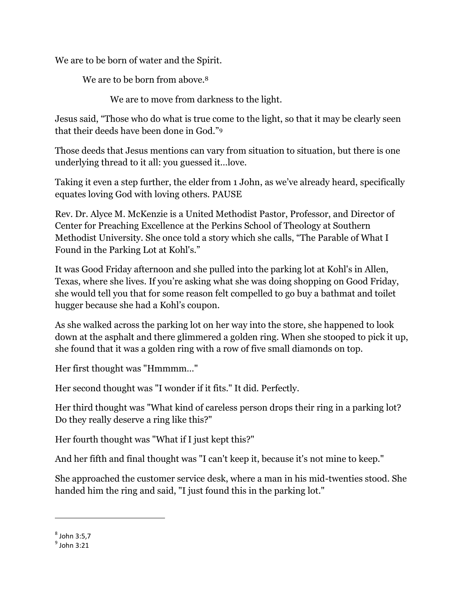We are to be born of water and the Spirit.

We are to be born from above.<sup>8</sup>

We are to move from darkness to the light.

Jesus said, "Those who do what is true come to the light, so that it may be clearly seen that their deeds have been done in God."<sup>9</sup>

Those deeds that Jesus mentions can vary from situation to situation, but there is one underlying thread to it all: you guessed it…love.

Taking it even a step further, the elder from 1 John, as we've already heard, specifically equates loving God with loving others. PAUSE

Rev. Dr. Alyce M. McKenzie is a United Methodist Pastor, Professor, and Director of Center for Preaching Excellence at the Perkins School of Theology at Southern Methodist University. She once told a story which she calls, "The Parable of What I Found in the Parking Lot at Kohl's."

It was Good Friday afternoon and she pulled into the parking lot at Kohl's in Allen, Texas, where she lives. If you're asking what she was doing shopping on Good Friday, she would tell you that for some reason felt compelled to go buy a bathmat and toilet hugger because she had a Kohl's coupon.

As she walked across the parking lot on her way into the store, she happened to look down at the asphalt and there glimmered a golden ring. When she stooped to pick it up, she found that it was a golden ring with a row of five small diamonds on top.

Her first thought was "Hmmmm…"

Her second thought was "I wonder if it fits." It did. Perfectly.

Her third thought was "What kind of careless person drops their ring in a parking lot? Do they really deserve a ring like this?"

Her fourth thought was "What if I just kept this?"

And her fifth and final thought was "I can't keep it, because it's not mine to keep."

She approached the customer service desk, where a man in his mid-twenties stood. She handed him the ring and said, "I just found this in the parking lot."

 $\overline{\phantom{a}}$ 

 $^8$  John 3:5,7

 $^9$  John 3:21